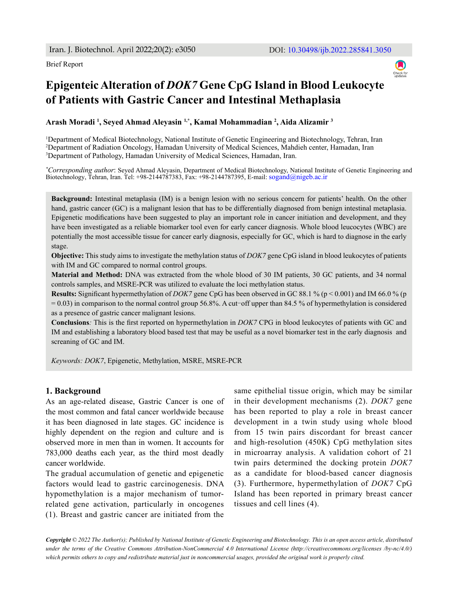

# **Epigenteic Alteration of** *DOK7* **Gene CpG Island in Blood Leukocyte of Patients with Gastric Cancer and Intestinal Methaplasia**

**Arash Moradi 1 , Seyed Ahmad Aleyasin 1,\*, Kamal Mohammadian 2 , Aida Alizamir 3**

1 Department of Medical Biotechnology, National Institute of Genetic Engineering and Biotechnology, Tehran, Iran 2 Department of Radiation Oncology, Hamadan University of Medical Sciences, Mahdieh center, Hamadan, Iran 3 Department of Pathology, Hamadan University of Medical Sciences, Hamadan, Iran.

*\* Corresponding author*: Seyed Ahmad Aleyasin, Department of Medical Biotechnology, National Institute of Genetic Engineering and Biotechnology, Tehran, Iran. Tel: +98-2144787383, Fax: +98-2144787395, E-mail: sogand@nigeb.ac.ir

**Background:** Intestinal metaplasia (IM) is a benign lesion with no serious concern for patients' health. On the other hand, gastric cancer (GC) is a malignant lesion that has to be differentially diagnosed from benign intestinal metaplasia. Epigenetic modifications have been suggested to play an important role in cancer initiation and development, and they have been investigated as a reliable biomarker tool even for early cancer diagnosis. Whole blood leucocytes (WBC) are potentially the most accessible tissue for cancer early diagnosis, especially for GC, which is hard to diagnose in the early stage.

**Objective:** This study aims to investigate the methylation status of *DOK7* gene CpG island in blood leukocytes of patients with IM and GC compared to normal control groups.

**Material and Method:** DNA was extracted from the whole blood of 30 IM patients, 30 GC patients, and 34 normal controls samples, and MSRE-PCR was utilized to evaluate the loci methylation status.

**Results:** Significant hypermethylation of *DOK7* gene CpG has been observed in GC 88.1 % (p < 0.001) and IM 66.0 % (p  $= 0.03$ ) in comparison to the normal control group 56.8%. A cut–off upper than 84.5 % of hypermethylation is considered as a presence of gastric cancer malignant lesions.

**Conclusions***:* This is the first reported on hypermethylation in *DOK7* CPG in blood leukocytes of patients with GC and IM and establishing a laboratory blood based test that may be useful as a novel biomarker test in the early diagnosis and screaning of GC and IM.

*Keywords: DOK7*, Epigenetic, Methylation, MSRE, MSRE-PCR

# **1. Background**

As an age-related disease, Gastric Cancer is one of the most common and fatal cancer worldwide because it has been diagnosed in late stages. GC incidence is highly dependent on the region and culture and is observed more in men than in women. It accounts for 783,000 deaths each year, as the third most deadly cancer worldwide.

The gradual accumulation of genetic and epigenetic factors would lead to gastric carcinogenesis. DNA hypomethylation is a major mechanism of tumorrelated gene activation, particularly in oncogenes (1). Breast and gastric cancer are initiated from the same epithelial tissue origin, which may be similar in their development mechanisms (2). *DOK7* gene has been reported to play a role in breast cancer development in a twin study using whole blood from 15 twin pairs discordant for breast cancer and high-resolution (450K) CpG methylation sites in microarray analysis. A validation cohort of 21 twin pairs determined the docking protein *DOK7* as a candidate for blood-based cancer diagnosis (3). Furthermore, hypermethylation of *DOK7* CpG Island has been reported in primary breast cancer tissues and cell lines (4).

*Copyright © 2022 The Author(s); Published by National Institute of Genetic Engineering and Biotechnology. This is an open access article, distributed under the terms of the Creative Commons Attribution-NonCommercial 4.0 International License (http://creativecommons.org/licenses /by-nc/4.0/) which permits others to copy and redistribute material just in noncommercial usages, provided the original work is properly cited.*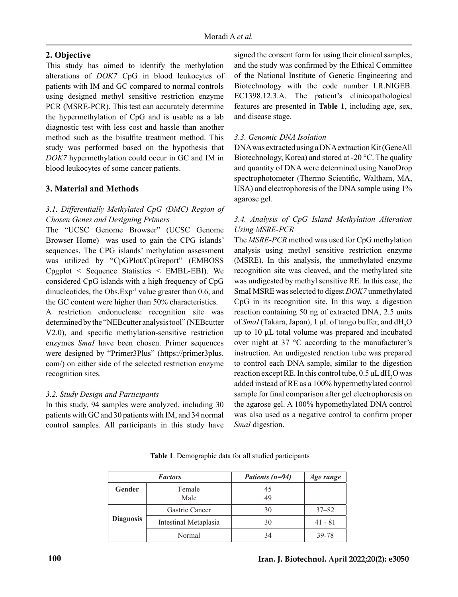# **2. Objective**

This study has aimed to identify the methylation alterations of *DOK7* CpG in blood leukocytes of patients with IM and GC compared to normal controls using designed methyl sensitive restriction enzyme PCR (MSRE-PCR). This test can accurately determine the hypermethylation of CpG and is usable as a lab diagnostic test with less cost and hassle than another method such as the bisulfite treatment method. This study was performed based on the hypothesis that *DOK7* hypermethylation could occur in GC and IM in blood leukocytes of some cancer patients.

# **3. Material and Methods**

# *3.1. Differentially Methylated CpG (DMC) Region of Chosen Genes and Designing Primers*

The "UCSC Genome Browser" (UCSC Genome Browser Home) was used to gain the CPG islands' sequences. The CPG islands' methylation assessment was utilized by "CpGPlot/CpGreport" (EMBOSS Cpgplot < Sequence Statistics < EMBL-EBI). We considered CpG islands with a high frequency of CpG dinucleotides, the Obs. $Exp<sup>-1</sup>$  value greater than 0.6, and the GC content were higher than 50% characteristics.

A restriction endonuclease recognition site was determined by the "NEBcutter analysis tool" (NEBcutter V2.0), and specific methylation-sensitive restriction enzymes *SmaI* have been chosen. Primer sequences were designed by "Primer3Plus" (https://primer3plus. com/) on either side of the selected restriction enzyme recognition sites.

# *3.2. Study Design and Participants*

In this study, 94 samples were analyzed, including 30 patients with GC and 30 patients with IM, and 34 normal control samples. All participants in this study have signed the consent form for using their clinical samples, and the study was confirmed by the Ethical Committee of the National Institute of Genetic Engineering and Biotechnology with the code number I.R.NIGEB. EC1398.12.3.A. The patient's clinicopathological features are presented in **Table 1**, including age, sex, and disease stage.

# *3.3. Genomic DNA Isolation*

DNA was extracted using a DNA extraction Kit (GeneAll Biotechnology, Korea) and stored at -20 °C. The quality and quantity of DNA were determined using NanoDrop spectrophotometer (Thermo Scientific, Waltham, MA, USA) and electrophoresis of the DNA sample using  $1\%$ agarose gel.

# *3.4. Analysis of CpG Island Methylation Alteration Using MSRE-PCR*

The *MSRE-PCR* method was used for CpG methylation analysis using methyl sensitive restriction enzyme (MSRE). In this analysis, the unmethylated enzyme recognition site was cleaved, and the methylated site was undigested by methyl sensitive RE. In this case, the SmaI MSRE was selected to digest *DOK7* unmethylated CpG in its recognition site. In this way, a digestion reaction containing 50 ng of extracted DNA, 2.5 units of *SmaI* (Takara, Japan), 1 μL of tango buffer, and dH<sub>2</sub>O up to 10 μL total volume was prepared and incubated over night at 37 °C according to the manufacturer's instruction. An undigested reaction tube was prepared to control each DNA sample, similar to the digestion reaction except RE. In this control tube,  $0.5 \mu L dH_2O$  was added instead of RE as a 100% hypermethylated control sample for final comparison after gel electrophoresis on the agarose gel. A 100% hypomethylated DNA control was also used as a negative control to confirm proper *SmaI* digestion.

**Table 1**. Demographic data for all studied participants

| <b>Factors</b>   |                       | Patients $(n=94)$ | Age range |
|------------------|-----------------------|-------------------|-----------|
| Gender           | Female<br>Male        | 45<br>49          |           |
| <b>Diagnosis</b> | Gastric Cancer        | 30                | $37 - 82$ |
|                  | Intestinal Metaplasia | 30                | $41 - 81$ |
|                  | Normal                | 34                | 39-78     |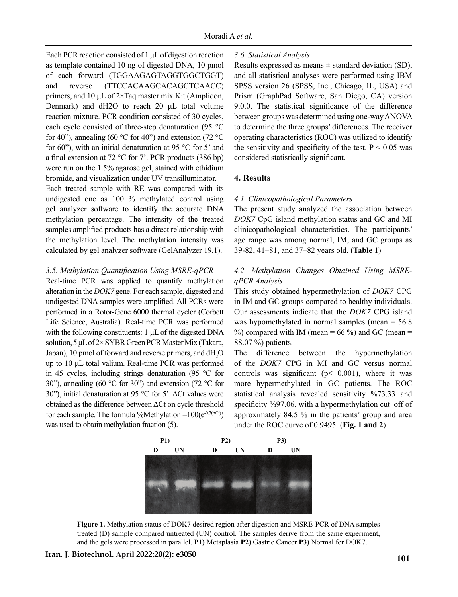Each PCR reaction consisted of 1 μL of digestion reaction as template contained 10 ng of digested DNA, 10 pmol of each forward (TGGAAGAGTAGGTGGCTGGT) and reverse (TTCCACAAGCACAGCTCAACC) primers, and 10 μL of 2×Taq master mix Kit (Ampliqon, Denmark) and dH2O to reach 20 μL total volume reaction mixture. PCR condition consisted of 30 cycles, each cycle consisted of three-step denaturation (95 °C for 40"), annealing (60 °C for 40") and extension (72 °C for 60"), with an initial denaturation at 95  $\degree$ C for 5' and a final extension at 72 °C for 7'. PCR products (386 bp) were run on the 1.5% agarose gel, stained with ethidium bromide, and visualization under UV transilluminator.

Each treated sample with RE was compared with its undigested one as 100 % methylated control using gel analyzer software to identify the accurate DNA methylation percentage. The intensity of the treated samples amplified products has a direct relationship with the methylation level. The methylation intensity was calculated by gel analyzer software (GelAnalyzer 19.1).

#### *3.5. Methylation Quantification Using MSRE-qPCR*

Real-time PCR was applied to quantify methylation alteration in the *DOK7* gene. For each sample, digested and undigested DNA samples were amplified. All PCRs were performed in a Rotor-Gene 6000 thermal cycler (Corbett Life Science, Australia). Real-time PCR was performed with the following constituents: 1 μL of the digested DNA solution, 5 μL of 2× SYBR Green PCR Master Mix (Takara, Japan), 10 pmol of forward and reverse primers, and  $dH_2O$ up to 10 μL total valium. Real-time PCR was performed in 45 cycles, including strings denaturation (95 °C for 30"), annealing (60  $\degree$ C for 30") and extension (72  $\degree$ C for 30"), initial denaturation at 95 °C for 5'. ΔCt values were obtained as the difference between ΔCt on cycle threshold for each sample. The formula %Methylation = $100(e^{0.7(\Delta Ct)})$ was used to obtain methylation fraction (5).

### *3.6. Statistical Analysis*

Results expressed as means  $\pm$  standard deviation (SD). and all statistical analyses were performed using IBM SPSS version 26 (SPSS, Inc., Chicago, IL, USA) and Prism (GraphPad Software, San Diego, CA) version 9.0.0. The statistical significance of the difference between groups was determined using one-way ANOVA to determine the three groups' differences. The receiver operating characteristics (ROC) was utilized to identify the sensitivity and specificity of the test.  $P < 0.05$  was considered statistically significant.

### **4. Results**

#### *4.1. Clinicopathological Parameters*

The present study analyzed the association between *DOK7* CpG island methylation status and GC and MI clinicopathological characteristics. The participants' age range was among normal, IM, and GC groups as 39-82, 41–81, and 37–82 years old. (**Table 1**)

# *4.2. Methylation Changes Obtained Using MSREqPCR Analysis*

This study obtained hypermethylation of *DOK7* CPG in IM and GC groups compared to healthy individuals. Our assessments indicate that the *DOK7* CPG island was hypomethylated in normal samples (mean = 56.8  $\%$ ) compared with IM (mean = 66  $\%$ ) and GC (mean = 88.07 %) patients.

The difference between the hypermethylation of the *DOK7* CPG in MI and GC versus normal controls was significant ( $p < 0.001$ ), where it was more hypermethylated in GC patients. The ROC statistical analysis revealed sensitivity %73.33 and specificity %97.06, with a hypermethylation cut-off of approximately 84.5 % in the patients' group and area under the ROC curve of 0.9495. (**Fig. 1 and 2**)



**Figure 1.** Methylation status of DOK7 desired region after digestion and MSRE-PCR of DNA samples treated (D) sample compared untreated (UN) control. The samples derive from the same experiment, and the gels were processed in parallel. **P1)** Metaplasia **P2)** Gastric Cancer **P3)** Normal for DOK7.

# **<sup>101</sup> Iran. J. Biotechnol. April 2022;20(2): e3050**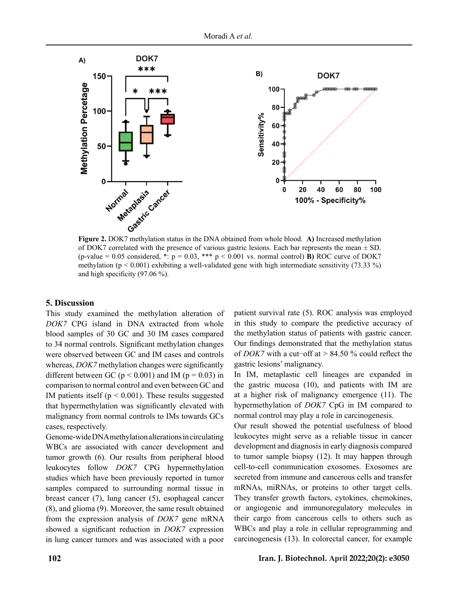

of DOK7 correlated with the presence of various gastric lesions. Each bar represents the mean  $\pm$  SD. (p-value =  $0.05$  considered, \*: p =  $0.03$ , \*\*\* p <  $0.001$  vs. normal control) **B)** ROC curve of DOK7 methylation ( $p < 0.001$ ) exhibiting a well-validated gene with high intermediate sensitivity (73.33 %) and high specificity  $(97.06\%)$ .

### **5. Discussion**

This study examined the methylation alteration of *DOK7* CPG island in DNA extracted from whole blood samples of 30 GC and 30 IM cases compared to 34 normal controls. Significant methylation changes were observed between GC and IM cases and controls whereas, *DOK7* methylation changes were significantly different between GC ( $p < 0.001$ ) and IM ( $p = 0.03$ ) in comparison to normal control and even between GC and IM patients itself ( $p < 0.001$ ). These results suggested that hypermethylation was significantly elevated with malignancy from normal controls to IMs towards GCs cases, respectively.

Genome-wide DNA methylation alterations in circulating WBCs are associated with cancer development and tumor growth (6). Our results from peripheral blood leukocytes follow *DOK7* CPG hypermethylation studies which have been previously reported in tumor samples compared to surrounding normal tissue in breast cancer (7), lung cancer (5), esophageal cancer (8), and glioma (9). Moreover, the same result obtained from the expression analysis of *DOK7* gene mRNA showed a significant reduction in *DOK7* expression in lung cancer tumors and was associated with a poor patient survival rate (5). ROC analysis was employed in this study to compare the predictive accuracy of the methylation status of patients with gastric cancer. Our findings demonstrated that the methylation status of *DOK7* with a cut-off at  $> 84.50$  % could reflect the gastric lesions' malignancy.

In IM, metaplastic cell lineages are expanded in the gastric mucosa (10), and patients with IM are at a higher risk of malignancy emergence (11). The hypermethylation of *DOK7* CpG in IM compared to normal control may play a role in carcinogenesis.

Our result showed the potential usefulness of blood leukocytes might serve as a reliable tissue in cancer development and diagnosis in early diagnosis compared to tumor sample biopsy (12). It may happen through cell-to-cell communication exosomes. Exosomes are secreted from immune and cancerous cells and transfer mRNAs, miRNAs, or proteins to other target cells. They transfer growth factors, cytokines, chemokines, or angiogenic and immunoregulatory molecules in their cargo from cancerous cells to others such as WBCs and play a role in cellular reprogramming and carcinogenesis (13). In colorectal cancer, for example

# **102 Iran. J. Biotechnol. April 2022;20(2): e3050**